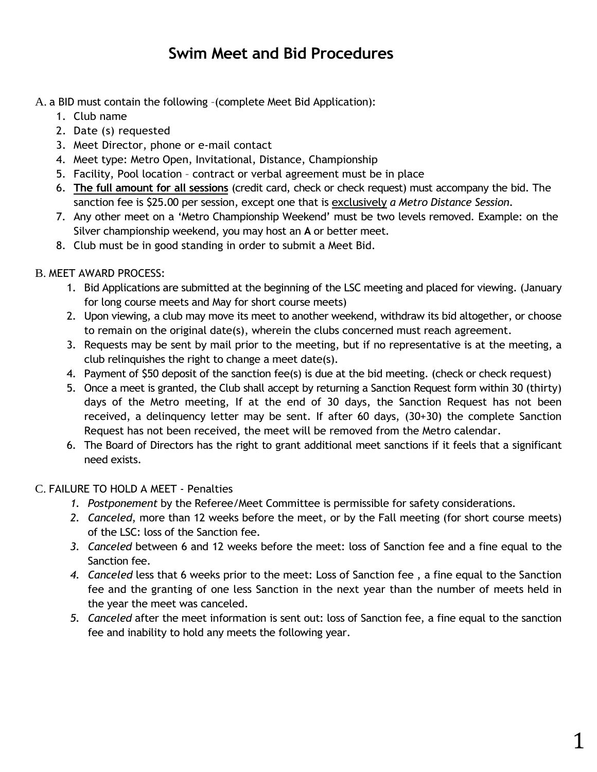# **Swim Meet and Bid Procedures**

A. a BID must contain the following –(complete Meet Bid Application):

- 1. Club name
- 2. Date (s) requested
- 3. Meet Director, phone or e-mail contact
- 4. Meet type: Metro Open, Invitational, Distance, Championship
- 5. Facility, Pool location contract or verbal agreement must be in place
- 6. **The full amount for all sessions** (credit card, check or check request) must accompany the bid. The sanction fee is \$25.00 per session, except one that is exclusively *a Metro Distance Session*.
- 7. Any other meet on a 'Metro Championship Weekend' must be two levels removed. Example: on the Silver championship weekend, you may host an **A** or better meet.
- 8. Club must be in good standing in order to submit a Meet Bid.

# B. MEET AWARD PROCESS:

- 1. Bid Applications are submitted at the beginning of the LSC meeting and placed for viewing. (January for long course meets and May for short course meets)
- 2. Upon viewing, a club may move its meet to another weekend, withdraw its bid altogether, or choose to remain on the original date(s), wherein the clubs concerned must reach agreement.
- 3. Requests may be sent by mail prior to the meeting, but if no representative is at the meeting, a club relinquishes the right to change a meet date(s).
- 4. Payment of \$50 deposit of the sanction fee(s) is due at the bid meeting. (check or check request)
- 5. Once a meet is granted, the Club shall accept by returning a Sanction Request form within 30 (thirty) days of the Metro meeting, If at the end of 30 days, the Sanction Request has not been received, a delinquency letter may be sent. If after 60 days, (30+30) the complete Sanction Request has not been received, the meet will be removed from the Metro calendar.
- 6. The Board of Directors has the right to grant additional meet sanctions if it feels that a significant need exists.

# C. FAILURE TO HOLD A MEET - Penalties

- *1. Postponement* by the Referee/Meet Committee is permissible for safety considerations.
- *2. Canceled*, more than 12 weeks before the meet, or by the Fall meeting (for short course meets) of the LSC: loss of the Sanction fee.
- *3. Canceled* between 6 and 12 weeks before the meet: loss of Sanction fee and a fine equal to the Sanction fee.
- *4. Canceled* less that 6 weeks prior to the meet: Loss of Sanction fee , a fine equal to the Sanction fee and the granting of one less Sanction in the next year than the number of meets held in the year the meet was canceled.
- *5. Canceled* after the meet information is sent out: loss of Sanction fee, a fine equal to the sanction fee and inability to hold any meets the following year.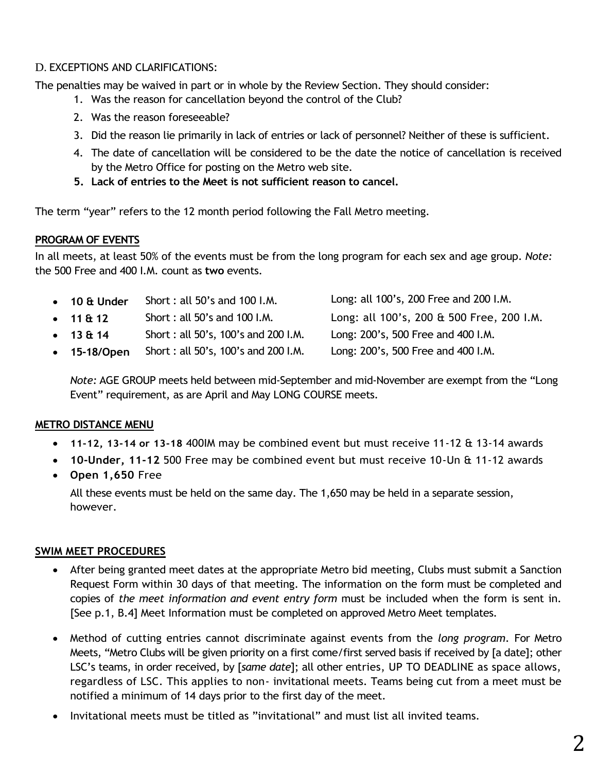### D. EXCEPTIONS AND CLARIFICATIONS:

The penalties may be waived in part or in whole by the Review Section. They should consider:

- 1. Was the reason for cancellation beyond the control of the Club?
- 2. Was the reason foreseeable?
- 3. Did the reason lie primarily in lack of entries or lack of personnel? Neither of these is sufficient.
- 4. The date of cancellation will be considered to be the date the notice of cancellation is received by the Metro Office for posting on the Metro web site.
- **5. Lack of entries to the Meet is not sufficient reason to cancel.**

The term "year" refers to the 12 month period following the Fall Metro meeting.

### **PROGRAM OF EVENTS**

In all meets, at least 50% of the events must be from the long program for each sex and age group. *Note:* the 500 Free and 400 I.M. count as **two** events.

| $\bullet$ 10 & Under | Short: all 50's and 100 I.M.        | Long: all 100's, 200 Free and 200 I.M.    |
|----------------------|-------------------------------------|-------------------------------------------|
| $\cdot$ 11 & 12      | Short: all 50's and 100 I.M.        | Long: all 100's, 200 & 500 Free, 200 I.M. |
| $\cdot$ 13 & 14      | Short: all 50's, 100's and 200 I.M. | Long: 200's, 500 Free and 400 I.M.        |
| • 15-18/Open         | Short: all 50's, 100's and 200 I.M. | Long: 200's, 500 Free and 400 I.M.        |
|                      |                                     |                                           |

*Note:* AGE GROUP meets held between mid-September and mid-November are exempt from the "Long Event" requirement, as are April and May LONG COURSE meets.

#### **METRO DISTANCE MENU**

- **11-12, 13-14 or 13-18** 400IM may be combined event but must receive 11-12 & 13-14 awards
- **10-Under, 11-12** 500 Free may be combined event but must receive 10-Un & 11-12 awards
- **Open 1,650** Free

All these events must be held on the same day. The 1,650 may be held in a separate session, however.

# **SWIM MEET PROCEDURES**

- After being granted meet dates at the appropriate Metro bid meeting, Clubs must submit a Sanction Request Form within 30 days of that meeting. The information on the form must be completed and copies of *the meet information and event entry form* must be included when the form is sent in. [See p.1, B.4] Meet Information must be completed on approved Metro Meet templates.
- Method of cutting entries cannot discriminate against events from the *long program.* For Metro Meets, "Metro Clubs will be given priority on a first come/first served basis if received by [a date]; other LSC's teams, in order received, by [*same date*]; all other entries, UP TO DEADLINE as space allows, regardless of LSC. This applies to non- invitational meets. Teams being cut from a meet must be notified a minimum of 14 days prior to the first day of the meet.
- Invitational meets must be titled as "invitational" and must list all invited teams.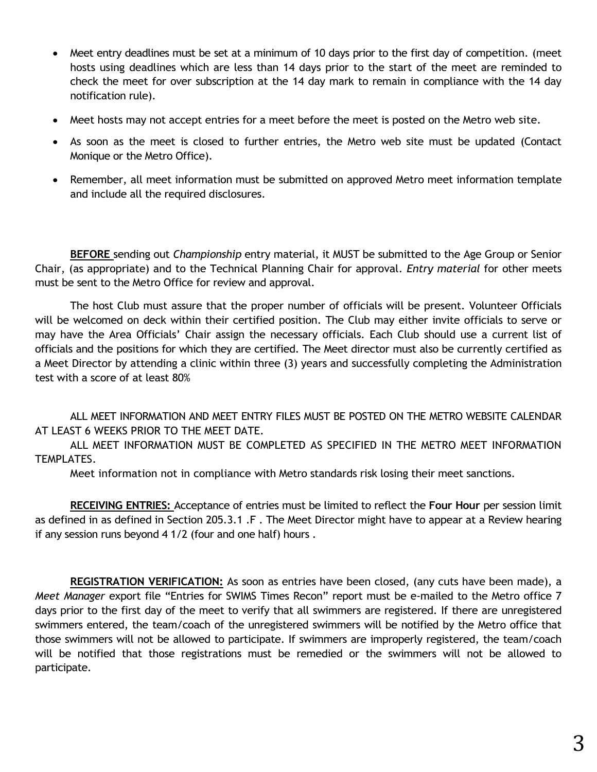- Meet entry deadlines must be set at a minimum of 10 days prior to the first day of competition. (meet hosts using deadlines which are less than 14 days prior to the start of the meet are reminded to check the meet for over subscription at the 14 day mark to remain in compliance with the 14 day notification rule).
- Meet hosts may not accept entries for a meet before the meet is posted on the Metro web site.
- As soon as the meet is closed to further entries, the Metro web site must be updated (Contact Monique or the Metro Office).
- Remember, all meet information must be submitted on approved Metro meet information template and include all the required disclosures.

**BEFORE** sending out *Championship* entry material, it MUST be submitted to the Age Group or Senior Chair, (as appropriate) and to the Technical Planning Chair for approval. *Entry material* for other meets must be sent to the Metro Office for review and approval.

The host Club must assure that the proper number of officials will be present. Volunteer Officials will be welcomed on deck within their certified position. The Club may either invite officials to serve or may have the Area Officials' Chair assign the necessary officials. Each Club should use a current list of officials and the positions for which they are certified. The Meet director must also be currently certified as a Meet Director by attending a clinic within three (3) years and successfully completing the Administration test with a score of at least 80%

ALL MEET INFORMATION AND MEET ENTRY FILES MUST BE POSTED ON THE METRO WEBSITE CALENDAR AT LEAST 6 WEEKS PRIOR TO THE MEET DATE.

ALL MEET INFORMATION MUST BE COMPLETED AS SPECIFIED IN THE METRO MEET INFORMATION TEMPLATES.

Meet information not in compliance with Metro standards risk losing their meet sanctions.

**RECEIVING ENTRIES:** Acceptance of entries must be limited to reflect the **Four Hour** per session limit as defined in as defined in Section 205.3.1 .F . The Meet Director might have to appear at a Review hearing if any session runs beyond 4 1/2 (four and one half) hours .

**REGISTRATION VERIFICATION:** As soon as entries have been closed, (any cuts have been made), a *Meet Manager* export file "Entries for SWIMS Times Recon" report must be e-mailed to the Metro office 7 days prior to the first day of the meet to verify that all swimmers are registered. If there are unregistered swimmers entered, the team/coach of the unregistered swimmers will be notified by the Metro office that those swimmers will not be allowed to participate. If swimmers are improperly registered, the team/coach will be notified that those registrations must be remedied or the swimmers will not be allowed to participate.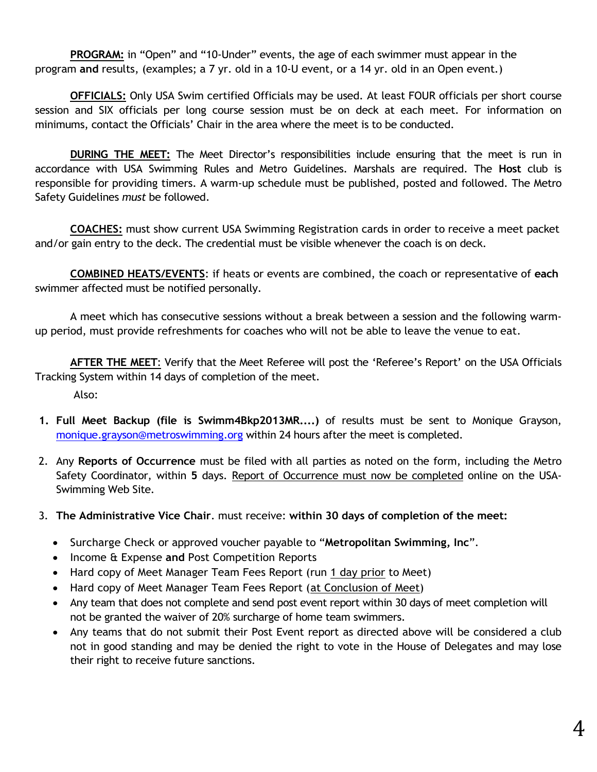**PROGRAM:** in "Open" and "10-Under" events, the age of each swimmer must appear in the program **and** results, (examples; a 7 yr. old in a 10-U event, or a 14 yr. old in an Open event.)

**OFFICIALS:** Only USA Swim certified Officials may be used. At least FOUR officials per short course session and SIX officials per long course session must be on deck at each meet. For information on minimums, contact the Officials' Chair in the area where the meet is to be conducted.

**DURING THE MEET:** The Meet Director's responsibilities include ensuring that the meet is run in accordance with USA Swimming Rules and Metro Guidelines. Marshals are required. The **Host** club is responsible for providing timers. A warm-up schedule must be published, posted and followed. The Metro Safety Guidelines *must* be followed.

**COACHES:** must show current USA Swimming Registration cards in order to receive a meet packet and/or gain entry to the deck. The credential must be visible whenever the coach is on deck.

**COMBINED HEATS/EVENTS**: if heats or events are combined, the coach or representative of **each** swimmer affected must be notified personally.

A meet which has consecutive sessions without a break between a session and the following warmup period, must provide refreshments for coaches who will not be able to leave the venue to eat.

**AFTER THE MEET**: Verify that the Meet Referee will post the 'Referee's Report' on the USA Officials Tracking System within 14 days of completion of the meet.

Also:

- **1. Full Meet Backup (file is Swimm4Bkp2013MR....)** of results must be sent to Monique Grayson, [monique.grayson@metroswimming.org](mailto:monique.grayson@metroswimming.org) within 24 hours after the meet is completed.
- 2. Any **Reports of Occurrence** must be filed with all parties as noted on the form, including the Metro Safety Coordinator, within **5** days. Report of Occurrence must now be completed online on the USA-Swimming Web Site.
- 3. **The Administrative Vice Chair**. must receive: **within 30 days of completion of the meet:**
	- Surcharge Check or approved voucher payable to "**Metropolitan Swimming, Inc**".
	- **Income & Expense and Post Competition Reports**
	- Hard copy of Meet Manager Team Fees Report (run 1 day prior to Meet)
	- Hard copy of Meet Manager Team Fees Report (at Conclusion of Meet)
	- Any team that does not complete and send post event report within 30 days of meet completion will not be granted the waiver of 20% surcharge of home team swimmers.
	- Any teams that do not submit their Post Event report as directed above will be considered a club not in good standing and may be denied the right to vote in the House of Delegates and may lose their right to receive future sanctions.